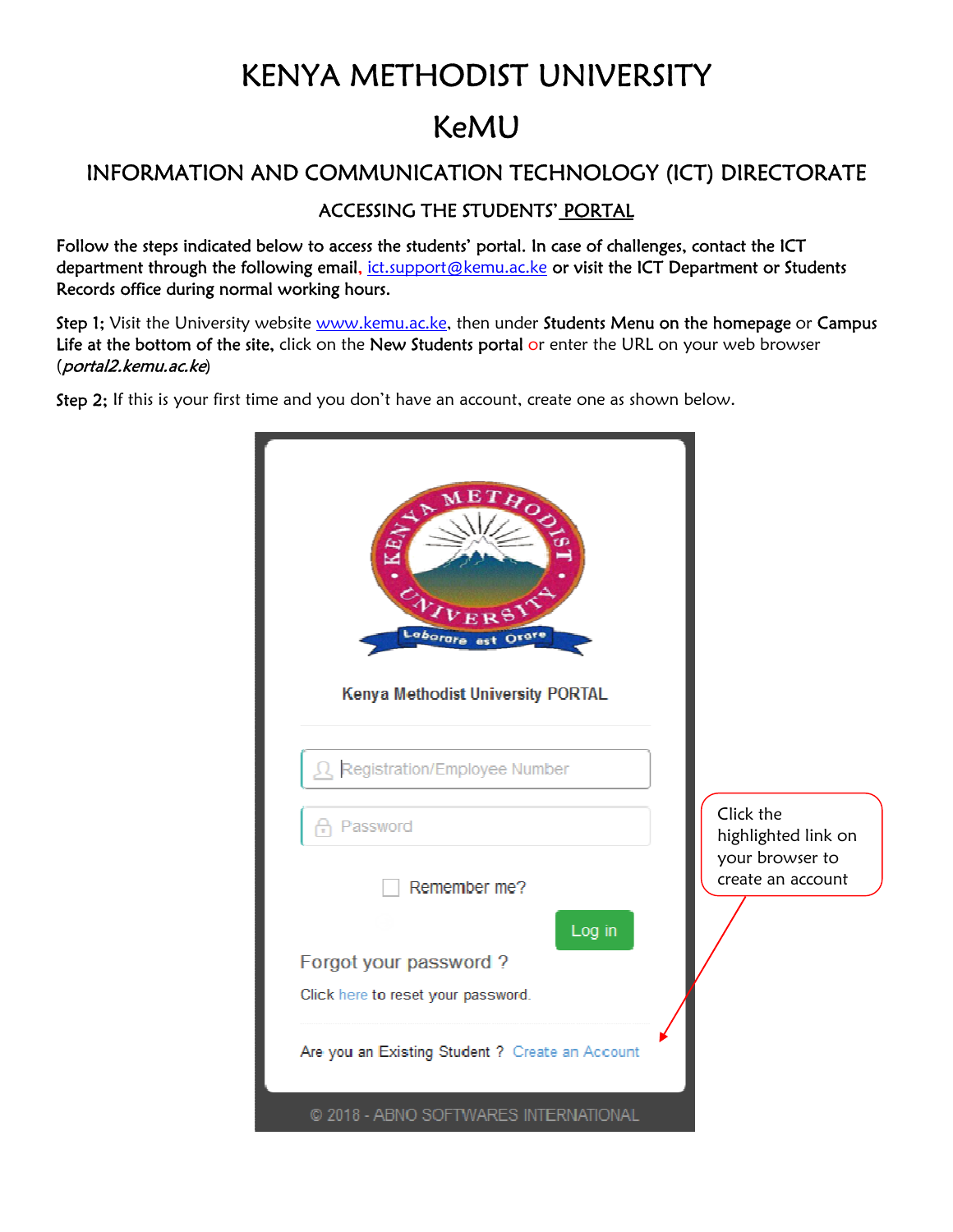# KENYA METHODIST UNIVERSITY

# KeMU

## INFORMATION AND COMMUNICATION TECHNOLOGY (ICT) DIRECTORATE

ACCESSING THE STUDENTS' PORTAL

Follow the steps indicated below to access the students' portal. In case of challenges, contact the ICT department through the following email, ict.support@kemu.ac.ke or visit the ICT Department or Students Records office during normal working hours.

Step 1; Visit the University website www.kemu.ac.ke, then under Students Menu on the homepage or Campus Life at the bottom of the site, click on the New Students portal or enter the URL on your web browser (portal2.kemu.ac.ke)



Step 2; If this is your first time and you don't have an account, create one as shown below.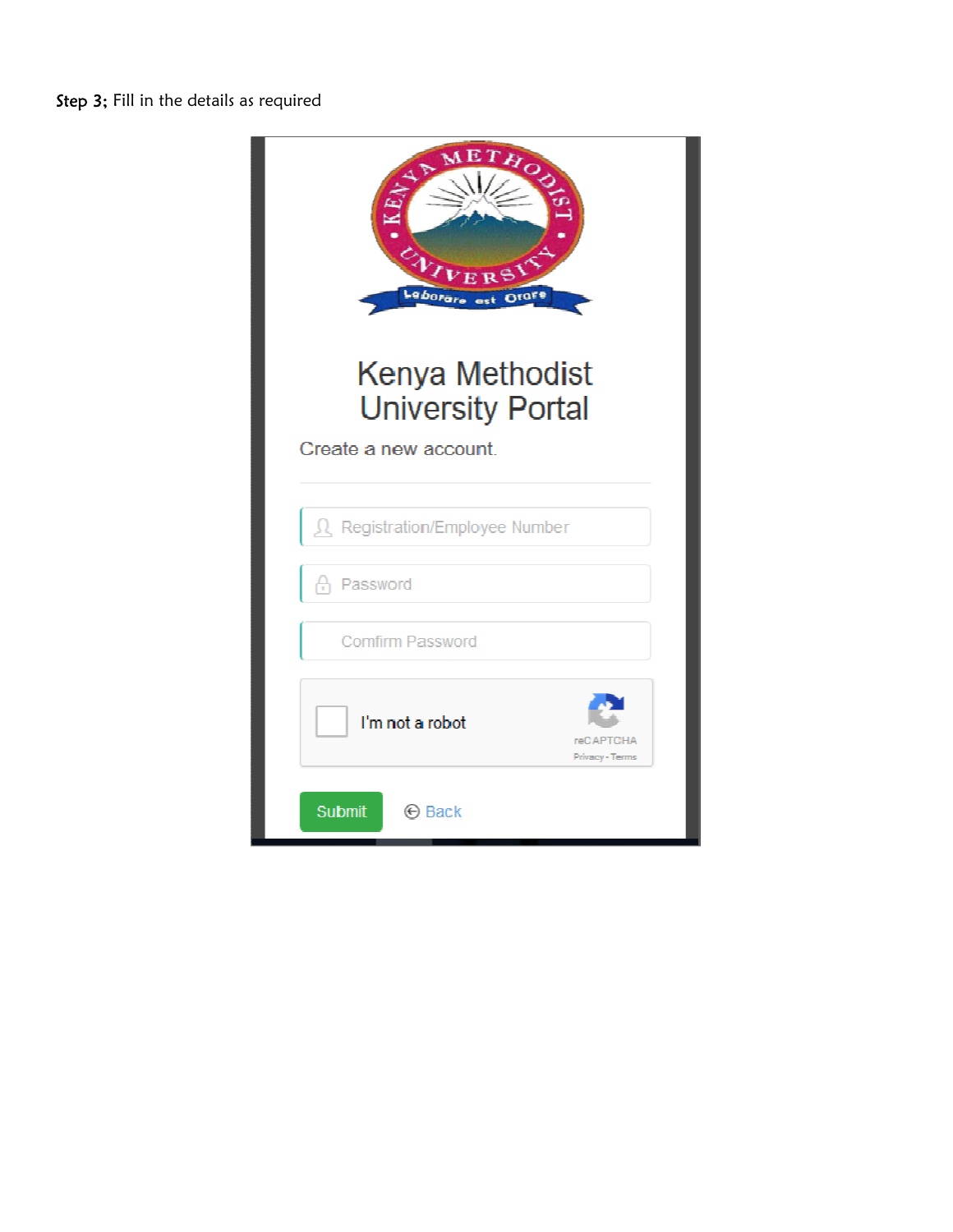### Step 3; Fill in the details as required

| HOON<br>REA<br>Laborare<br><b>and</b><br>Kenya Methodist<br><b>University Portal</b> |  |
|--------------------------------------------------------------------------------------|--|
| Create a new account.                                                                |  |
| Registration/Employee Number                                                         |  |
| Password<br>Ĥ                                                                        |  |
| <b>Comfirm Password</b>                                                              |  |
| I'm not a robot<br><b>reCAPTCHA</b><br>Privacy - Terms                               |  |
| Submit<br><b>⊙</b> Back                                                              |  |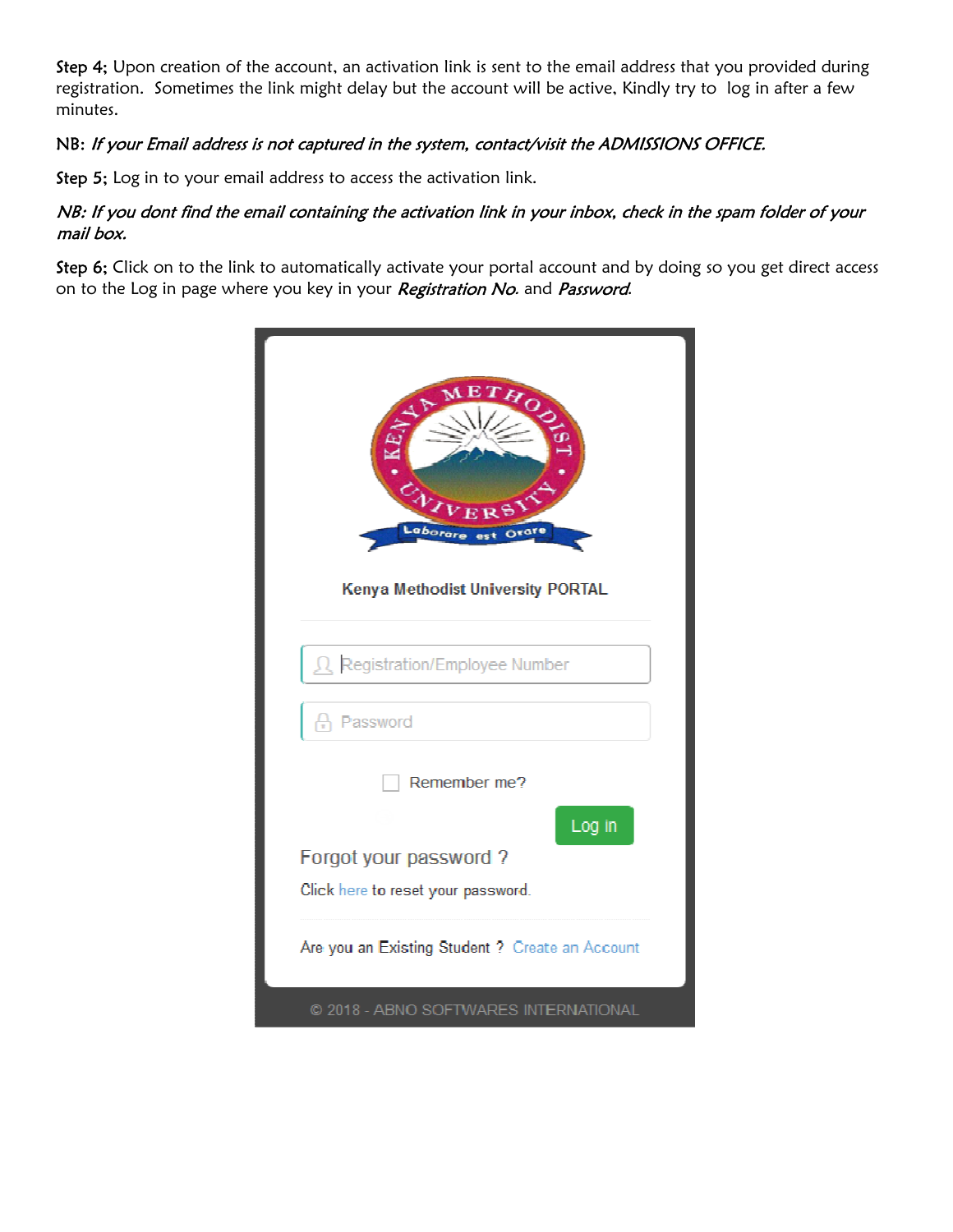Step 4; Upon creation of the account, an activation link is sent to the email address that you provided during registration. Sometimes the link might delay but the account will be active, Kindly try to log in after a few minutes.

#### NB: If your Email address is not captured in the system, contact/visit the ADMISSIONS OFFICE.

Step 5; Log in to your email address to access the activation link.

#### NB: If you dont find the email containing the activation link in your inbox, check in the spam folder of your mail box.

Step 6; Click on to the link to automatically activate your portal account and by doing so you get direct access on to the Log in page where you key in your Registration No. and Password.

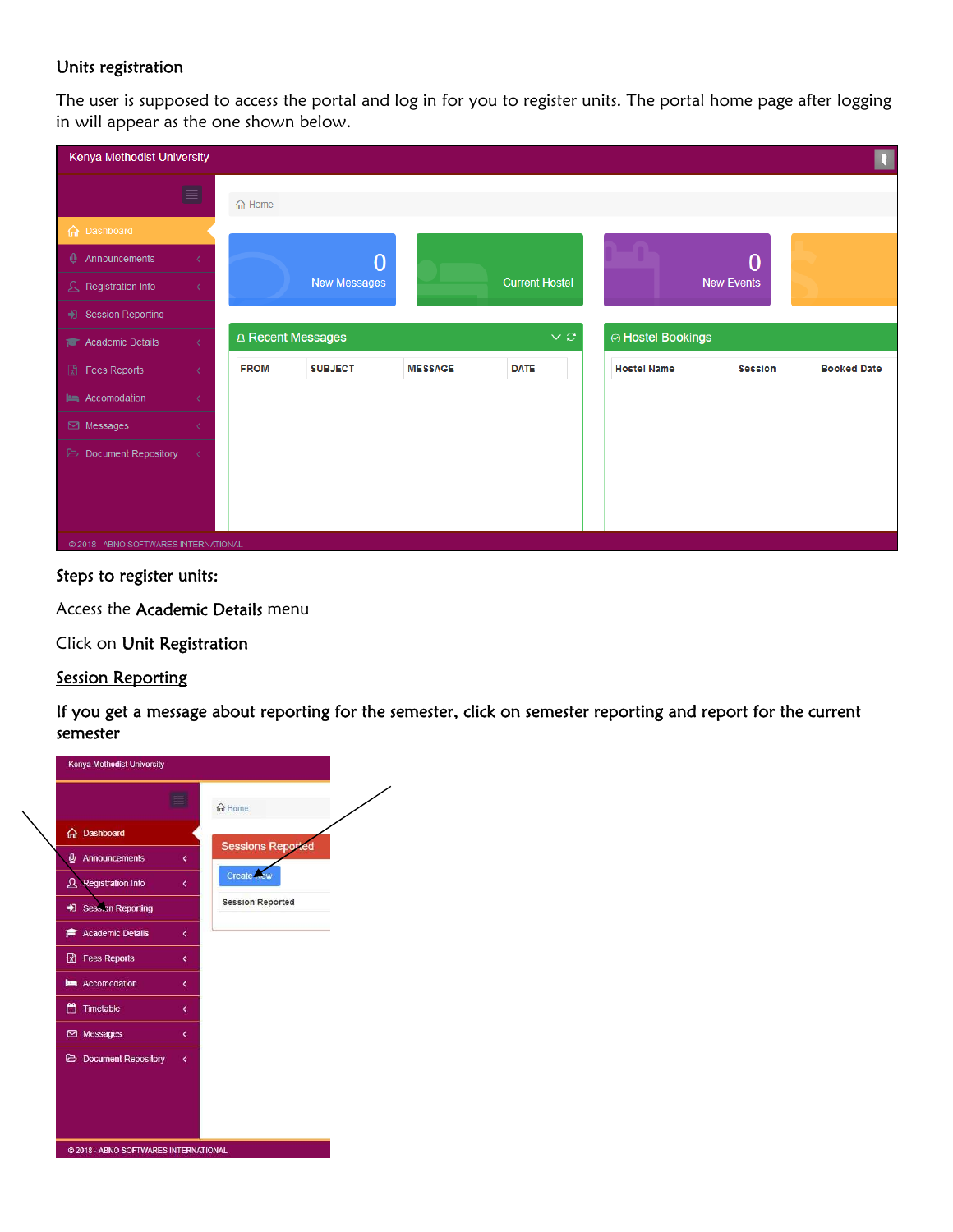#### Units registration

The user is supposed to access the portal and log in for you to register units. The portal home page after logging in will appear as the one shown below.

| Kenya Methodist University                  |                |                   |                |                |                       |                    |                   |                    |
|---------------------------------------------|----------------|-------------------|----------------|----------------|-----------------------|--------------------|-------------------|--------------------|
|                                             | $\blacksquare$ | d Home            |                |                |                       |                    |                   |                    |
| <b>命</b> Dashboard                          |                |                   |                |                |                       |                    |                   |                    |
| <b>4</b> Announcements                      |                |                   | $\overline{0}$ |                |                       |                    | 0                 |                    |
| <b>Q</b> Registration Info                  | ı              |                   | New Messages   |                | <b>Current Hostel</b> |                    | <b>New Events</b> |                    |
| Session Reporting                           |                |                   |                |                |                       |                    |                   |                    |
| <b>Academic Details</b>                     | $\langle$      | Q Recent Messages |                |                | $\vee$ $\varnothing$  | ⊙ Hostel Bookings  |                   |                    |
| $\boxed{\mathbb{Z}}$<br><b>Fees Reports</b> | x              | <b>FROM</b>       | <b>SUBJECT</b> | <b>MESSAGE</b> | <b>DATE</b>           | <b>Hostel Name</b> | <b>Session</b>    | <b>Booked Date</b> |
| Accomodation                                |                |                   |                |                |                       |                    |                   |                    |
| $\boxdot$ Messages                          |                |                   |                |                |                       |                    |                   |                    |
| <b>Document Repository</b>                  | $\prec$        |                   |                |                |                       |                    |                   |                    |
|                                             |                |                   |                |                |                       |                    |                   |                    |
|                                             |                |                   |                |                |                       |                    |                   |                    |
| © 2018 - ABNO SOFTWARES INTERNATIONAL       |                |                   |                |                |                       |                    |                   |                    |

#### Steps to register units:

Access the Academic Details menu

Click on Unit Registration

#### **Session Reporting**

If you get a message about reporting for the semester, click on semester reporting and report for the current semester

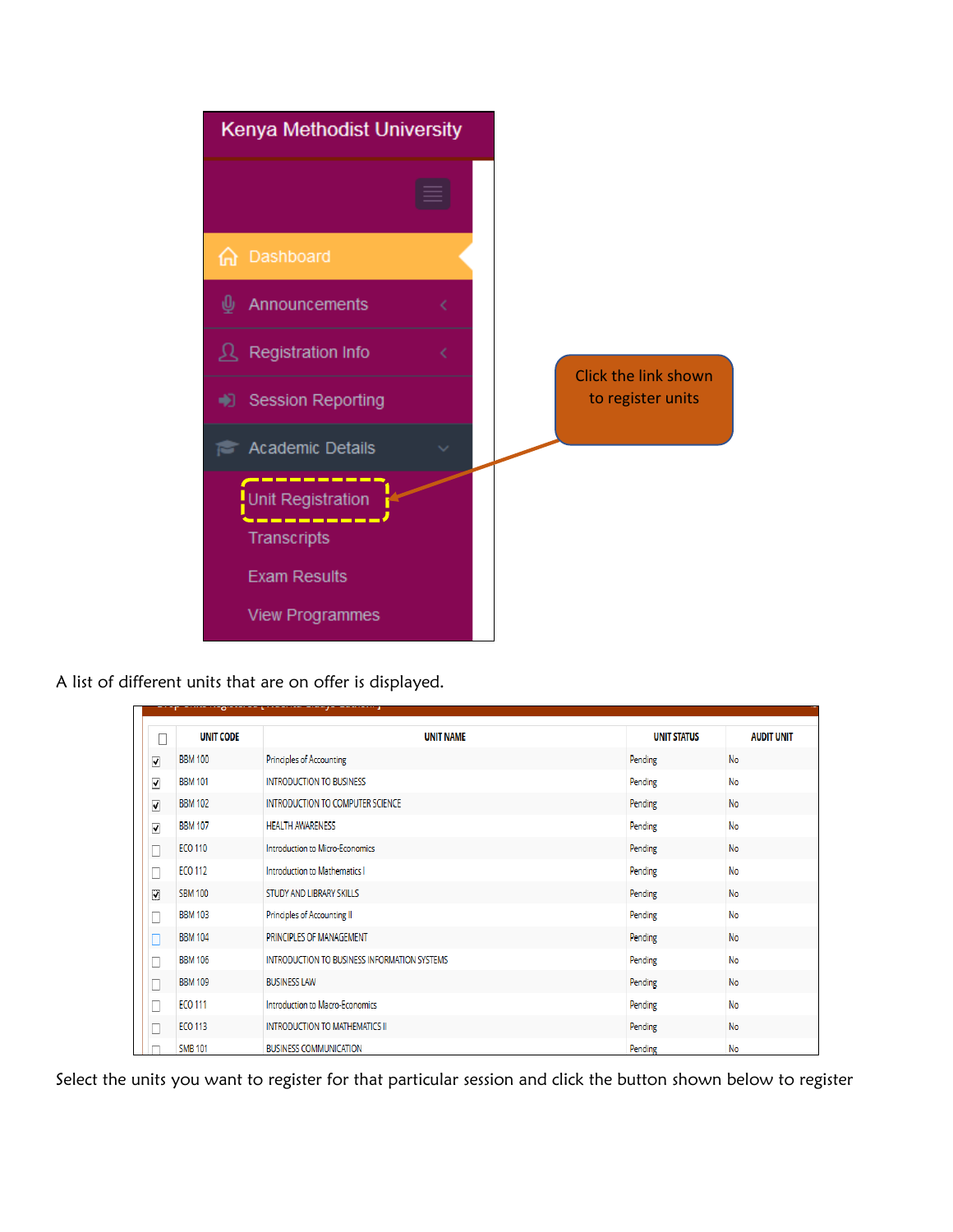

A list of different units that are on offer is displayed.

|   | <b>UNIT CODE</b> | <b>UNIT NAME</b>                             | <b>UNIT STATUS</b> | <b>AUDIT UNIT</b> |
|---|------------------|----------------------------------------------|--------------------|-------------------|
| ⊽ | <b>BBM 100</b>   | Principles of Accounting                     | Pending            | No                |
| ⊽ | <b>BBM 101</b>   | <b>INTRODUCTION TO BUSINESS</b>              | Pending            | No                |
| ⊽ | <b>BBM 102</b>   | INTRODUCTION TO COMPUTER SCIENCE             | Pending            | No                |
| ⊻ | <b>BBM 107</b>   | <b>HEALTH AWARENESS</b>                      | Pending            | No                |
| Е | <b>ECO 110</b>   | Introduction to Micro-Economics              | Pending            | No                |
| □ | <b>ECO 112</b>   | Introduction to Mathematics I                | Pending            | No                |
| ☑ | <b>SBM 100</b>   | STUDY AND LIBRARY SKILLS                     | Pending            | No                |
| □ | <b>BBM 103</b>   | Principles of Accounting II                  | Pending            | No                |
| Е | <b>BBM 104</b>   | PRINCIPLES OF MANAGEMENT                     | Pending            | No                |
| С | <b>BBM 106</b>   | INTRODUCTION TO BUSINESS INFORMATION SYSTEMS | Pending            | No                |
| □ | <b>BBM 109</b>   | <b>BUSINESS LAW</b>                          | Pending            | No                |
| C | <b>ECO 111</b>   | Introduction to Macro-Economics              | Pending            | No                |
| Г | <b>ECO 113</b>   | <b>INTRODUCTION TO MATHEMATICS II</b>        | Pending            | No                |
|   | <b>SMB 101</b>   | <b>BUSINESS COMMUNICATION</b>                | Pending            | No                |

Select the units you want to register for that particular session and click the button shown below to register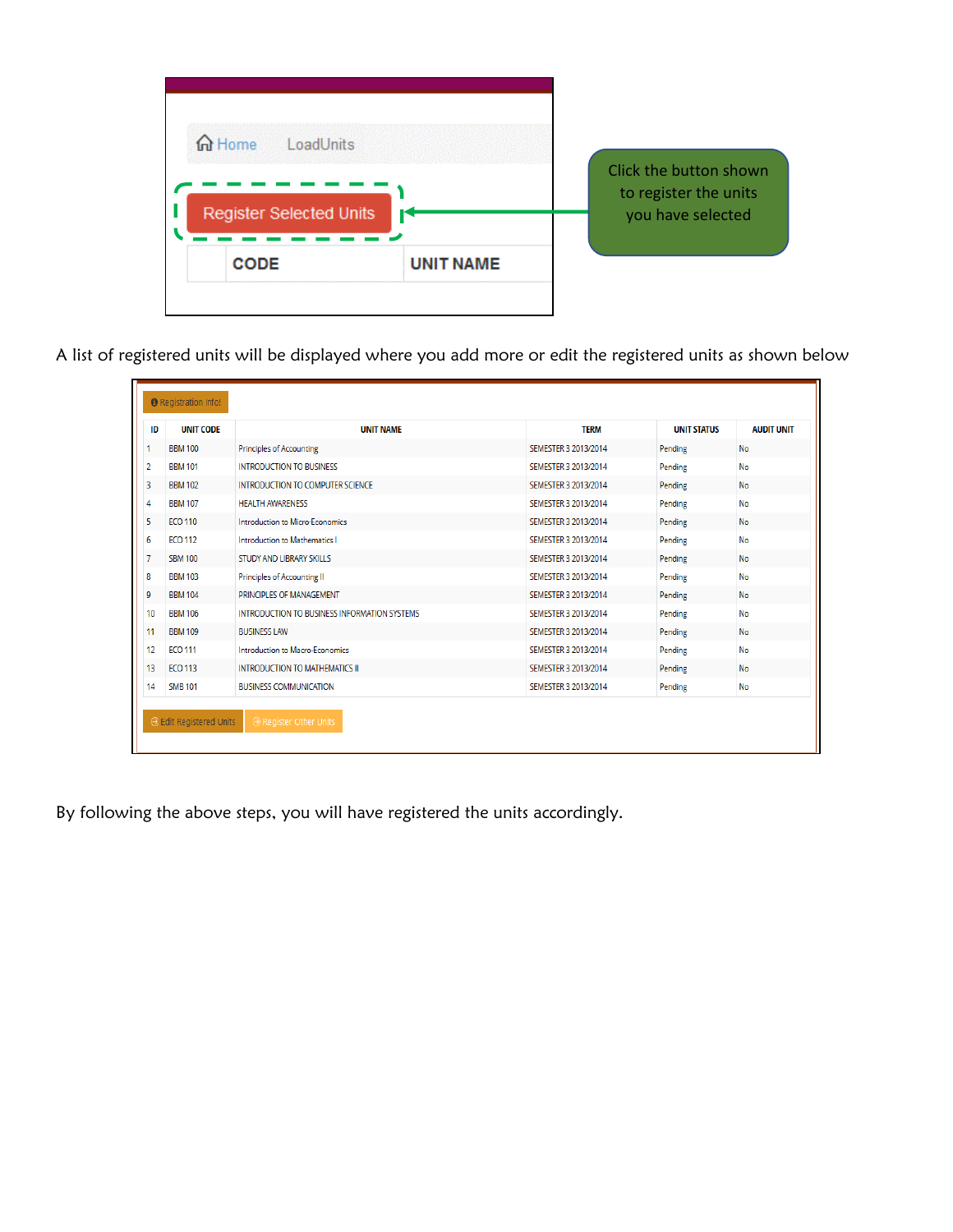

A list of registered units will be displayed where you add more or edit the registered units as shown below

| ID             | <b>UNIT CODE</b> | <b>UNIT NAME</b>                             | <b>TERM</b>          | <b>UNIT STATUS</b> | <b>AUDIT UNIT</b> |
|----------------|------------------|----------------------------------------------|----------------------|--------------------|-------------------|
|                | <b>BBM 100</b>   | Principles of Accounting                     | SEMESTER 3 2013/2014 | Pending            | No                |
| $\overline{2}$ | <b>BBM 101</b>   | <b>INTRODUCTION TO BUSINESS</b>              | SEMESTER 3 2013/2014 | Pending            | No                |
| 3              | <b>BBM 102</b>   | INTRODUCTION TO COMPUTER SCIENCE             | SEMESTER 3 2013/2014 | Pending            | <b>No</b>         |
| 4              | <b>BBM 107</b>   | <b>HEALTH AWARENESS</b>                      | SEMESTER 3 2013/2014 | Pending            | No                |
| 5              | <b>ECO 110</b>   | Introduction to Micro-Economics              | SEMESTER 3 2013/2014 | Pending            | No                |
| 6              | <b>ECO 112</b>   | Introduction to Mathematics I                | SEMESTER 3 2013/2014 | Pending            | No                |
| 7              | <b>SBM 100</b>   | STUDY AND LIBRARY SKILLS                     | SEMESTER 3 2013/2014 | Pending            | No                |
| 8              | <b>BBM 103</b>   | Principles of Accounting II                  | SEMESTER 3 2013/2014 | Pending            | <b>No</b>         |
| 9              | <b>BBM 104</b>   | PRINCIPLES OF MANAGEMENT                     | SEMESTER 3 2013/2014 | Pending            | <b>No</b>         |
| 10             | <b>BBM 106</b>   | INTRODUCTION TO BUSINESS INFORMATION SYSTEMS | SEMESTER 3 2013/2014 | Pending            | <b>No</b>         |
| 11             | <b>BBM 109</b>   | <b>BUSINESS LAW</b>                          | SEMESTER 3 2013/2014 | Pending            | <b>No</b>         |
| 12             | <b>ECO 111</b>   | Introduction to Macro-Economics              | SEMESTER 3 2013/2014 | Pending            | No                |
| 13             | <b>ECO 113</b>   | <b>INTRODUCTION TO MATHEMATICS II</b>        | SEMESTER 3 2013/2014 | Pending            | No                |
| 14             | <b>SMB 101</b>   | <b>BUSINESS COMMUNICATION</b>                | SEMESTER 3 2013/2014 | Pending            | No                |

By following the above steps, you will have registered the units accordingly.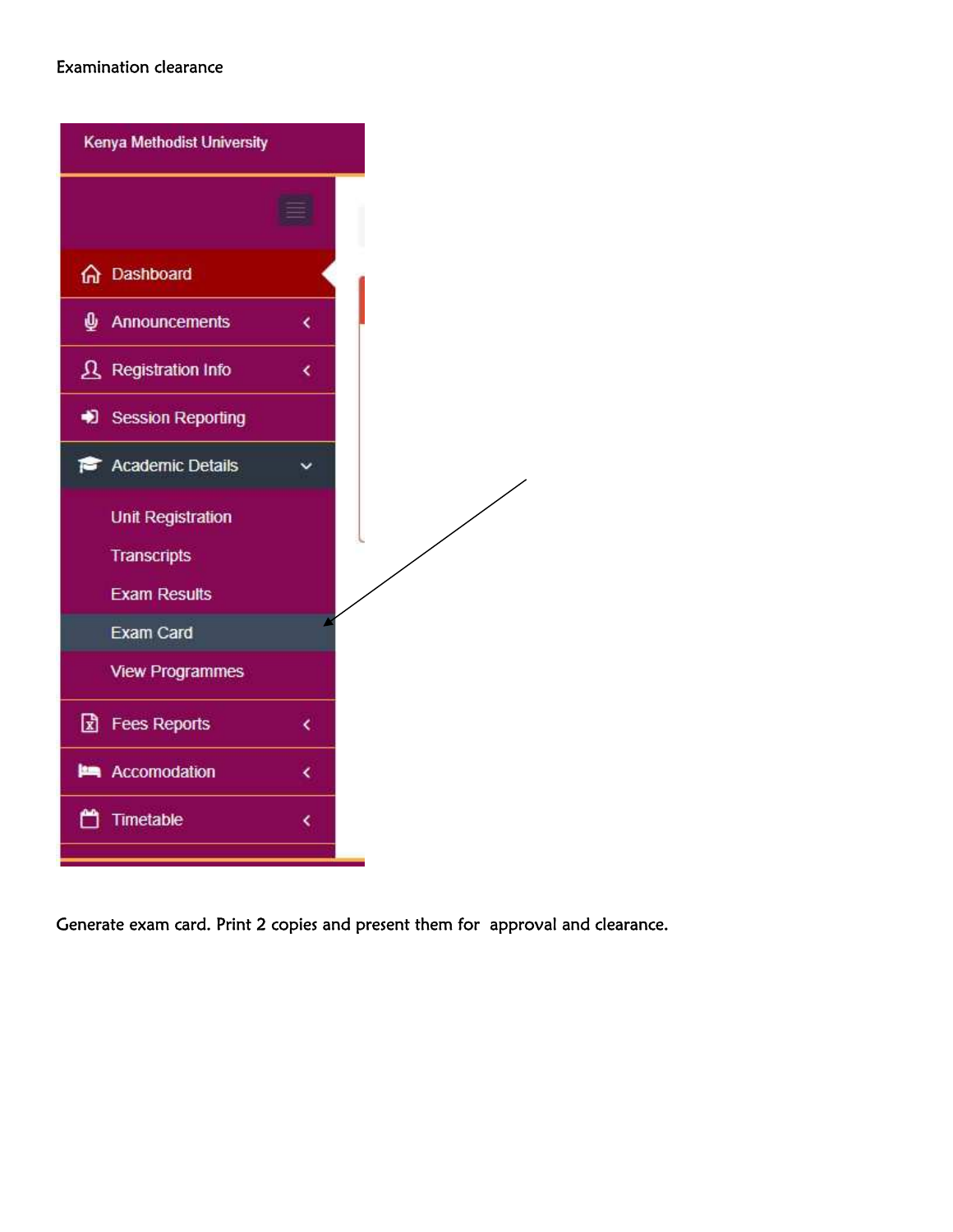### Examination clearance

| Kenya Methodist University |   |  |
|----------------------------|---|--|
|                            |   |  |
| <b>A</b> Dashboard         |   |  |
| <b>U</b> Announcements     | k |  |
| <b>Registration Info</b>   | k |  |
| Session Reporting          |   |  |
| <b>E</b> Academic Details  |   |  |
| <b>Unit Registration</b>   |   |  |
| Transcripts                |   |  |
| <b>Exam Results</b>        |   |  |
| Exam Card                  |   |  |
| <b>View Programmes</b>     |   |  |
| <b>R</b> Fees Reports      | k |  |
| Accomodation               | ∢ |  |
| Timetable                  | k |  |
|                            |   |  |

Generate exam card. Print 2 copies and present them for approval and clearance.